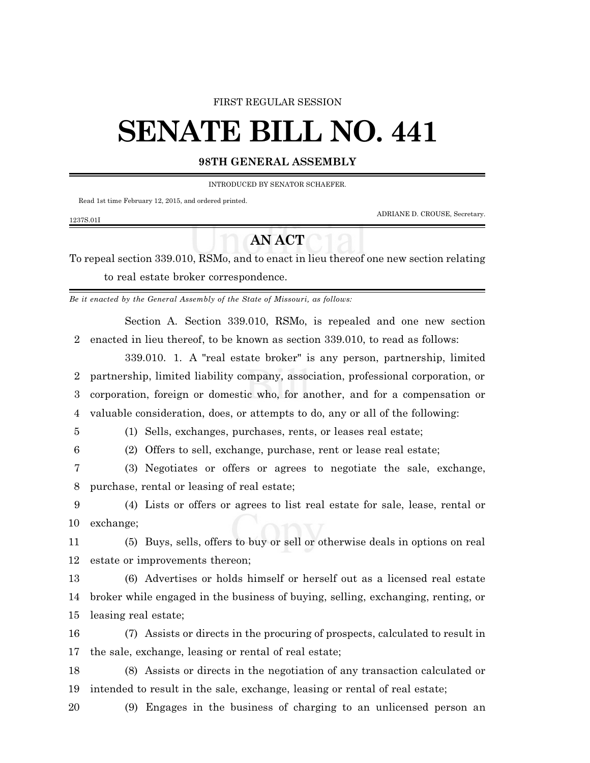#### FIRST REGULAR SESSION

# **SENATE BILL NO. 441**

#### **98TH GENERAL ASSEMBLY**

INTRODUCED BY SENATOR SCHAEFER.

Read 1st time February 12, 2015, and ordered printed.

ADRIANE D. CROUSE, Secretary.

### 1237S.01I

## **AN ACT**

To repeal section 339.010, RSMo, and to enact in lieu thereof one new section relating to real estate broker correspondence.

*Be it enacted by the General Assembly of the State of Missouri, as follows:*

Section A. Section 339.010, RSMo, is repealed and one new section enacted in lieu thereof, to be known as section 339.010, to read as follows:

339.010. 1. A "real estate broker" is any person, partnership, limited partnership, limited liability company, association, professional corporation, or corporation, foreign or domestic who, for another, and for a compensation or valuable consideration, does, or attempts to do, any or all of the following:

(1) Sells, exchanges, purchases, rents, or leases real estate;

(2) Offers to sell, exchange, purchase, rent or lease real estate;

 (3) Negotiates or offers or agrees to negotiate the sale, exchange, purchase, rental or leasing of real estate;

 (4) Lists or offers or agrees to list real estate for sale, lease, rental or exchange;

 (5) Buys, sells, offers to buy or sell or otherwise deals in options on real estate or improvements thereon;

 (6) Advertises or holds himself or herself out as a licensed real estate broker while engaged in the business of buying, selling, exchanging, renting, or leasing real estate;

 (7) Assists or directs in the procuring of prospects, calculated to result in the sale, exchange, leasing or rental of real estate;

 (8) Assists or directs in the negotiation of any transaction calculated or intended to result in the sale, exchange, leasing or rental of real estate;

(9) Engages in the business of charging to an unlicensed person an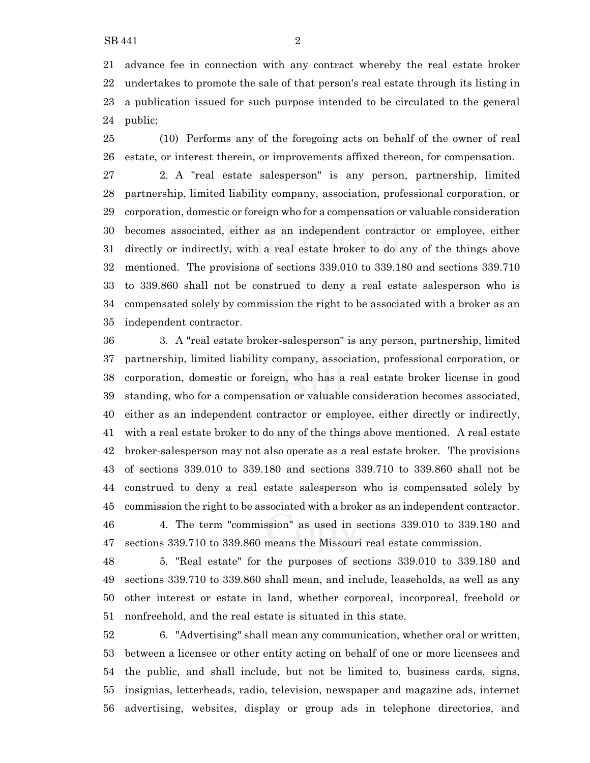advance fee in connection with any contract whereby the real estate broker undertakes to promote the sale of that person's real estate through its listing in a publication issued for such purpose intended to be circulated to the general public;

 (10) Performs any of the foregoing acts on behalf of the owner of real estate, or interest therein, or improvements affixed thereon, for compensation.

 2. A "real estate salesperson" is any person, partnership, limited partnership, limited liability company, association, professional corporation, or corporation, domestic or foreign who for a compensation or valuable consideration becomes associated, either as an independent contractor or employee, either directly or indirectly, with a real estate broker to do any of the things above mentioned. The provisions of sections 339.010 to 339.180 and sections 339.710 to 339.860 shall not be construed to deny a real estate salesperson who is compensated solely by commission the right to be associated with a broker as an independent contractor.

 3. A "real estate broker-salesperson" is any person, partnership, limited partnership, limited liability company, association, professional corporation, or corporation, domestic or foreign, who has a real estate broker license in good standing, who for a compensation or valuable consideration becomes associated, either as an independent contractor or employee, either directly or indirectly, with a real estate broker to do any of the things above mentioned. A real estate broker-salesperson may not also operate as a real estate broker. The provisions of sections 339.010 to 339.180 and sections 339.710 to 339.860 shall not be construed to deny a real estate salesperson who is compensated solely by commission the right to be associated with a broker as an independent contractor. 4. The term "commission" as used in sections 339.010 to 339.180 and sections 339.710 to 339.860 means the Missouri real estate commission.

 5. "Real estate" for the purposes of sections 339.010 to 339.180 and sections 339.710 to 339.860 shall mean, and include, leaseholds, as well as any other interest or estate in land, whether corporeal, incorporeal, freehold or nonfreehold, and the real estate is situated in this state.

 6. "Advertising" shall mean any communication, whether oral or written, between a licensee or other entity acting on behalf of one or more licensees and the public, and shall include, but not be limited to, business cards, signs, insignias, letterheads, radio, television, newspaper and magazine ads, internet advertising, websites, display or group ads in telephone directories, and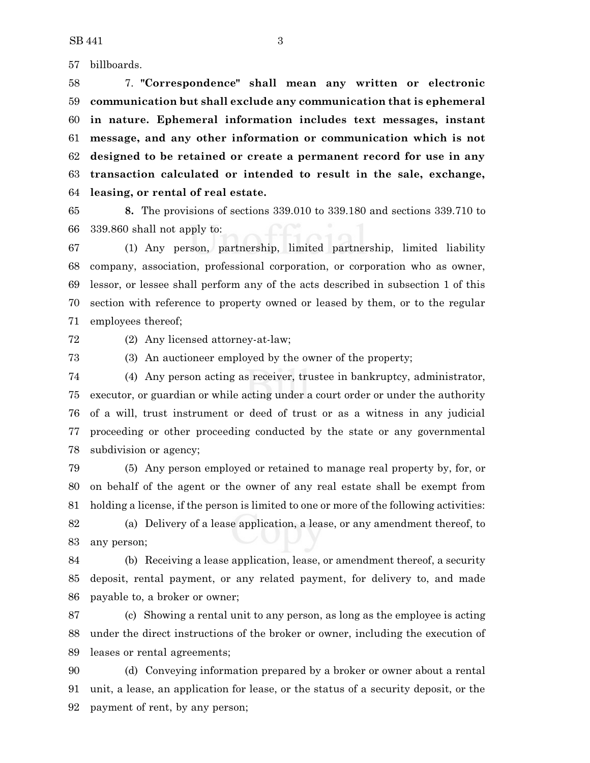billboards.

 7. **"Correspondence" shall mean any written or electronic communication but shall exclude any communication that is ephemeral in nature. Ephemeral information includes text messages, instant message, and any other information or communication which is not designed to be retained or create a permanent record for use in any transaction calculated or intended to result in the sale, exchange, leasing, or rental of real estate.**

 **8.** The provisions of sections 339.010 to 339.180 and sections 339.710 to 339.860 shall not apply to:

 (1) Any person, partnership, limited partnership, limited liability company, association, professional corporation, or corporation who as owner, lessor, or lessee shall perform any of the acts described in subsection 1 of this section with reference to property owned or leased by them, or to the regular employees thereof;

(2) Any licensed attorney-at-law;

(3) An auctioneer employed by the owner of the property;

 (4) Any person acting as receiver, trustee in bankruptcy, administrator, executor, or guardian or while acting under a court order or under the authority of a will, trust instrument or deed of trust or as a witness in any judicial proceeding or other proceeding conducted by the state or any governmental subdivision or agency;

 (5) Any person employed or retained to manage real property by, for, or on behalf of the agent or the owner of any real estate shall be exempt from holding a license, if the person is limited to one or more of the following activities: (a) Delivery of a lease application, a lease, or any amendment thereof, to any person;

 (b) Receiving a lease application, lease, or amendment thereof, a security deposit, rental payment, or any related payment, for delivery to, and made payable to, a broker or owner;

 (c) Showing a rental unit to any person, as long as the employee is acting under the direct instructions of the broker or owner, including the execution of leases or rental agreements;

 (d) Conveying information prepared by a broker or owner about a rental unit, a lease, an application for lease, or the status of a security deposit, or the payment of rent, by any person;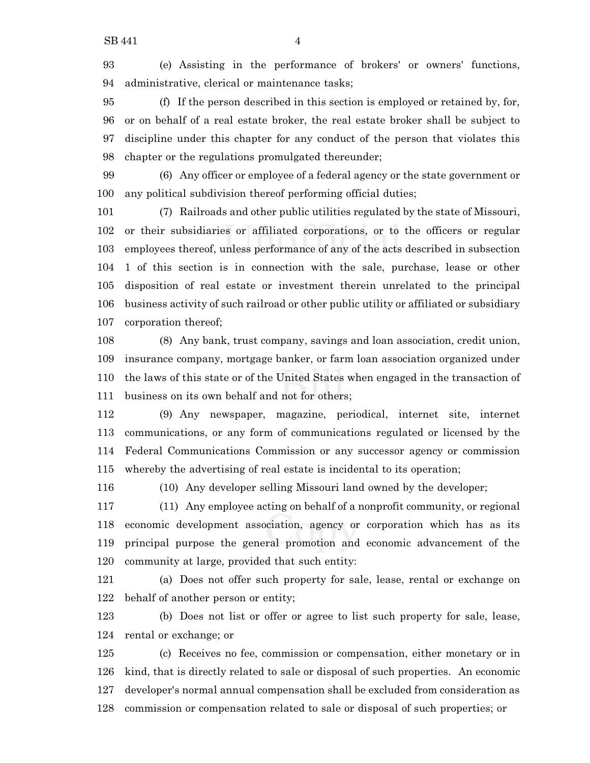(e) Assisting in the performance of brokers' or owners' functions, administrative, clerical or maintenance tasks;

 (f) If the person described in this section is employed or retained by, for, or on behalf of a real estate broker, the real estate broker shall be subject to discipline under this chapter for any conduct of the person that violates this chapter or the regulations promulgated thereunder;

 (6) Any officer or employee of a federal agency or the state government or any political subdivision thereof performing official duties;

 (7) Railroads and other public utilities regulated by the state of Missouri, or their subsidiaries or affiliated corporations, or to the officers or regular employees thereof, unless performance of any of the acts described in subsection 1 of this section is in connection with the sale, purchase, lease or other disposition of real estate or investment therein unrelated to the principal business activity of such railroad or other public utility or affiliated or subsidiary corporation thereof;

 (8) Any bank, trust company, savings and loan association, credit union, insurance company, mortgage banker, or farm loan association organized under the laws of this state or of the United States when engaged in the transaction of business on its own behalf and not for others;

 (9) Any newspaper, magazine, periodical, internet site, internet communications, or any form of communications regulated or licensed by the Federal Communications Commission or any successor agency or commission whereby the advertising of real estate is incidental to its operation;

(10) Any developer selling Missouri land owned by the developer;

 (11) Any employee acting on behalf of a nonprofit community, or regional economic development association, agency or corporation which has as its principal purpose the general promotion and economic advancement of the community at large, provided that such entity:

 (a) Does not offer such property for sale, lease, rental or exchange on behalf of another person or entity;

 (b) Does not list or offer or agree to list such property for sale, lease, rental or exchange; or

 (c) Receives no fee, commission or compensation, either monetary or in kind, that is directly related to sale or disposal of such properties. An economic developer's normal annual compensation shall be excluded from consideration as commission or compensation related to sale or disposal of such properties; or